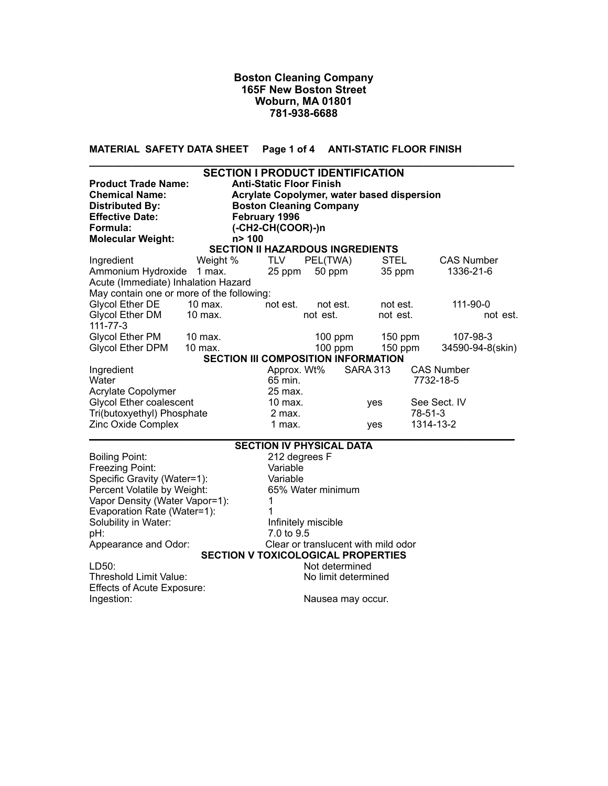**MATERIAL SAFETY DATA SHEET Page 1 of 4 ANTI-STATIC FLOOR FINISH** 

| <b>Product Trade Name:</b><br><b>Chemical Name:</b><br><b>Distributed By:</b><br><b>Effective Date:</b> |           | <b>SECTION I PRODUCT IDENTIFICATION</b><br><b>Anti-Static Floor Finish</b><br>Acrylate Copolymer, water based dispersion<br><b>Boston Cleaning Company</b><br>February 1996 |                                         |          |         |                                            |                                |                   |
|---------------------------------------------------------------------------------------------------------|-----------|-----------------------------------------------------------------------------------------------------------------------------------------------------------------------------|-----------------------------------------|----------|---------|--------------------------------------------|--------------------------------|-------------------|
| Formula:                                                                                                |           | $(-CH2-CH(COOR)-)n$                                                                                                                                                         |                                         |          |         |                                            |                                |                   |
| <b>Molecular Weight:</b>                                                                                |           | n> 100                                                                                                                                                                      |                                         |          |         |                                            |                                |                   |
|                                                                                                         |           |                                                                                                                                                                             | <b>SECTION II HAZARDOUS INGREDIENTS</b> |          |         |                                            |                                |                   |
| Ingredient                                                                                              | Weight %  |                                                                                                                                                                             | <b>TLV</b>                              | PEL(TWA) |         | <b>STEL</b>                                |                                | <b>CAS Number</b> |
| Ammonium Hydroxide                                                                                      | 1 max.    |                                                                                                                                                                             | 25 ppm                                  | 50 ppm   |         | 35 ppm                                     |                                | 1336-21-6         |
| Acute (Immediate) Inhalation Hazard                                                                     |           |                                                                                                                                                                             |                                         |          |         |                                            |                                |                   |
| May contain one or more of the following:                                                               |           |                                                                                                                                                                             |                                         |          |         |                                            |                                |                   |
| Glycol Ether DE                                                                                         | 10 max.   |                                                                                                                                                                             | not est.                                | not est. |         | not est.                                   |                                | 111-90-0          |
| Glycol Ether DM<br>$111 - 77 - 3$                                                                       | $10$ max. |                                                                                                                                                                             |                                         | not est. |         | not est.                                   |                                | not est.          |
| Glycol Ether PM 10 max.                                                                                 |           |                                                                                                                                                                             |                                         |          | 100 ppm | $150$ ppm                                  |                                | 107-98-3          |
| <b>Glycol Ether DPM</b>                                                                                 | $10$ max. |                                                                                                                                                                             |                                         |          | 100 ppm | $150$ ppm                                  |                                | 34590-94-8(skin)  |
|                                                                                                         |           |                                                                                                                                                                             |                                         |          |         | <b>SECTION III COMPOSITION INFORMATION</b> |                                |                   |
| Ingredient<br>Water<br>Acrylate Copolymer                                                               |           |                                                                                                                                                                             | Approx. Wt%<br>65 min.<br>25 max.       |          |         | <b>SARA 313</b>                            | <b>CAS Number</b><br>7732-18-5 |                   |
| <b>Glycol Ether coalescent</b>                                                                          |           |                                                                                                                                                                             | 10 max.                                 |          |         | ves                                        | See Sect. IV                   |                   |
| Tri(butoxyethyl) Phosphate                                                                              |           |                                                                                                                                                                             | 2 max.                                  |          |         |                                            | 78-51-3                        |                   |
| Zinc Oxide Complex                                                                                      |           |                                                                                                                                                                             | 1 max.                                  |          |         | yes                                        | 1314-13-2                      |                   |

| <b>SECTION IV PHYSICAL DATA</b>           |
|-------------------------------------------|
| 212 degrees F                             |
| Variable                                  |
| Variable                                  |
| 65% Water minimum                         |
| Vapor Density (Water Vapor=1):            |
|                                           |
| Infinitely miscible                       |
| 7.0 to 9.5                                |
| Clear or translucent with mild odor       |
| <b>SECTION V TOXICOLOGICAL PROPERTIES</b> |
| Not determined                            |
| No limit determined                       |
|                                           |
| Nausea may occur.                         |
|                                           |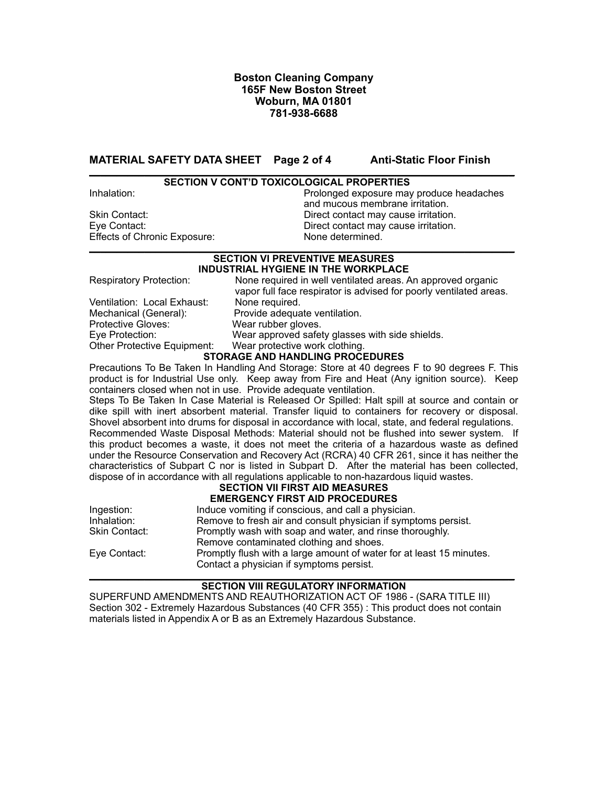**MATERIAL SAFETY DATA SHEET** Page 2 of 4 Anti-Static Floor Finish

#### **\_\_\_\_\_\_\_\_\_\_\_\_\_\_\_\_\_\_\_\_\_\_\_\_\_\_\_\_\_\_\_\_\_\_\_\_\_\_\_\_\_\_\_\_\_\_\_\_\_\_\_\_\_\_\_\_\_\_\_\_\_\_\_\_\_\_\_\_\_\_\_\_\_\_\_\_\_ SECTION V CONT'D TOXICOLOGICAL PROPERTIES**

Effects of Chronic Exposure: None determined.

Inhalation: Prolonged exposure may produce headaches and mucous membrane irritation.<br>Skin Contact: example and mucous membrane irritation. Direct contact may cause irritation. Eye Contact: Direct contact may cause irritation.

#### **\_\_\_\_\_\_\_\_\_\_\_\_\_\_\_\_\_\_\_\_\_\_\_\_\_\_\_\_\_\_\_\_\_\_\_\_\_\_\_\_\_\_\_\_\_\_\_\_\_\_\_\_\_\_\_\_\_\_\_\_\_\_\_\_\_\_\_\_\_\_\_\_\_\_\_\_\_ SECTION VI PREVENTIVE MEASURES INDUSTRIAL HYGIENE IN THE WORKPLACE**

| <b>Respiratory Protection:</b> | None required in well ventilated areas. An approved organic<br>vapor full face respirator is advised for poorly ventilated areas. |
|--------------------------------|-----------------------------------------------------------------------------------------------------------------------------------|
| Ventilation: Local Exhaust:    | None required.                                                                                                                    |
| Mechanical (General):          | Provide adequate ventilation.                                                                                                     |
| Protective Gloves:             | Wear rubber gloves.                                                                                                               |
| Eye Protection:                | Wear approved safety glasses with side shields.                                                                                   |
| Other Protective Equipment:    | Wear protective work clothing.                                                                                                    |
|                                | <b>STORAGE AND HANDLING PROCEDURES</b>                                                                                            |

Precautions To Be Taken In Handling And Storage: Store at 40 degrees F to 90 degrees F. This product is for Industrial Use only. Keep away from Fire and Heat (Any ignition source). Keep containers closed when not in use. Provide adequate ventilation.

Steps To Be Taken In Case Material is Released Or Spilled: Halt spill at source and contain or dike spill with inert absorbent material. Transfer liquid to containers for recovery or disposal. Shovel absorbent into drums for disposal in accordance with local, state, and federal regulations. Recommended Waste Disposal Methods: Material should not be flushed into sewer system. If this product becomes a waste, it does not meet the criteria of a hazardous waste as defined under the Resource Conservation and Recovery Act (RCRA) 40 CFR 261, since it has neither the characteristics of Subpart C nor is listed in Subpart D. After the material has been collected, dispose of in accordance with all regulations applicable to non-hazardous liquid wastes.

# **SECTION VII FIRST AID MEASURES**

|               | <b>EMERGENCY FIRST AID PROCEDURES</b>                                |
|---------------|----------------------------------------------------------------------|
| Ingestion:    | Induce vomiting if conscious, and call a physician.                  |
| Inhalation:   | Remove to fresh air and consult physician if symptoms persist.       |
| Skin Contact: | Promptly wash with soap and water, and rinse thoroughly.             |
|               | Remove contaminated clothing and shoes.                              |
| Eye Contact:  | Promptly flush with a large amount of water for at least 15 minutes. |
|               | Contact a physician if symptoms persist.                             |

#### **\_\_\_\_\_\_\_\_\_\_\_\_\_\_\_\_\_\_\_\_\_\_\_\_\_\_\_\_\_\_\_\_\_\_\_\_\_\_\_\_\_\_\_\_\_\_\_\_\_\_\_\_\_\_\_\_\_\_\_\_\_\_\_\_\_\_\_\_\_\_\_\_\_\_\_\_\_ SECTION VIII REGULATORY INFORMATION**

SUPERFUND AMENDMENTS AND REAUTHORIZATION ACT OF 1986 - (SARA TITLE III) Section 302 - Extremely Hazardous Substances (40 CFR 355) : This product does not contain materials listed in Appendix A or B as an Extremely Hazardous Substance.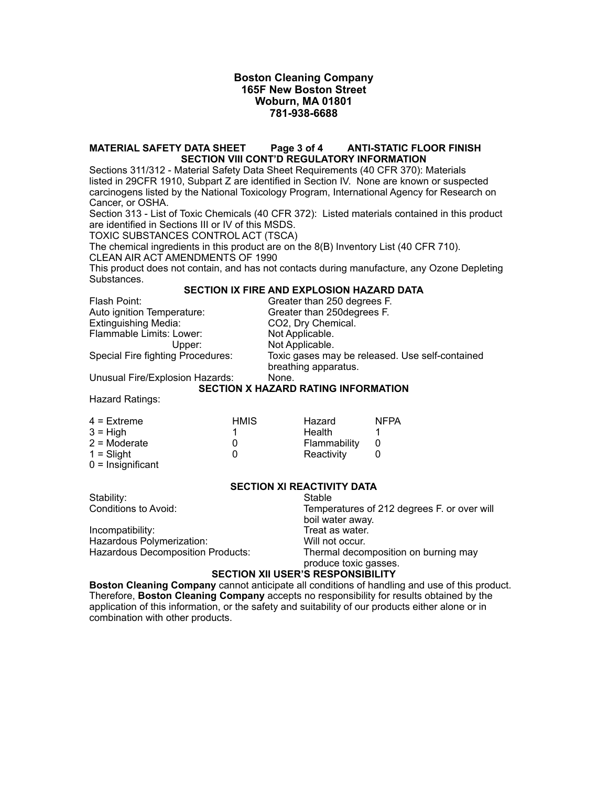#### **MATERIAL SAFETY DATA SHEET Page 3 of 4 ANTI-STATIC FLOOR FINISH SECTION VIII CONT'D REGULATORY INFORMATION**

Sections 311/312 - Material Safety Data Sheet Requirements (40 CFR 370): Materials listed in 29CFR 1910, Subpart Z are identified in Section IV. None are known or suspected carcinogens listed by the National Toxicology Program, International Agency for Research on Cancer, or OSHA.

Section 313 - List of Toxic Chemicals (40 CFR 372): Listed materials contained in this product are identified in Sections III or IV of this MSDS.

TOXIC SUBSTANCES CONTROL ACT (TSCA)

The chemical ingredients in this product are on the 8(B) Inventory List (40 CFR 710). CLEAN AIR ACT AMENDMENTS OF 1990

This product does not contain, and has not contacts during manufacture, any Ozone Depleting Substances.

## **SECTION IX FIRE AND EXPLOSION HAZARD DATA**

Flash Point: Greater than 250 degrees F. Auto ignition Temperature: Greater than 250degrees F. Extinguishing Media: CO2, Dry Chemical.<br>
Flammable Limits: Lower: Not Applicable. Flammable Limits: Lower:

Upper: Not Applicable. Special Fire fighting Procedures: Toxic gases may be released. Use self-contained breathing apparatus.

Unusual Fire/Explosion Hazards: None.

# **SECTION X HAZARD RATING INFORMATION**

Hazard Ratings:

| $4$ = Extreme  | <b>HMIS</b> | Hazard       | <b>NFPA</b> |
|----------------|-------------|--------------|-------------|
| $3 = High$     |             | Health       |             |
| $2 =$ Moderate |             | Flammability |             |
| $1 =$ Slight   |             | Reactivity   |             |
|                |             |              |             |

 $0 =$  Insignificant

#### **SECTION XI REACTIVITY DATA**

| Stability:                               | Stable                                      |  |  |  |
|------------------------------------------|---------------------------------------------|--|--|--|
| Conditions to Avoid:                     | Temperatures of 212 degrees F. or over will |  |  |  |
|                                          | boil water away.                            |  |  |  |
| Incompatibility:                         | Treat as water.                             |  |  |  |
| Hazardous Polymerization:                | Will not occur.                             |  |  |  |
| Hazardous Decomposition Products:        | Thermal decomposition on burning may        |  |  |  |
|                                          | produce toxic gasses.                       |  |  |  |
| <b>SECTION XII USER'S RESPONSIBILITY</b> |                                             |  |  |  |
|                                          |                                             |  |  |  |

**Boston Cleaning Company** cannot anticipate all conditions of handling and use of this product. Therefore, **Boston Cleaning Company** accepts no responsibility for results obtained by the application of this information, or the safety and suitability of our products either alone or in combination with other products.